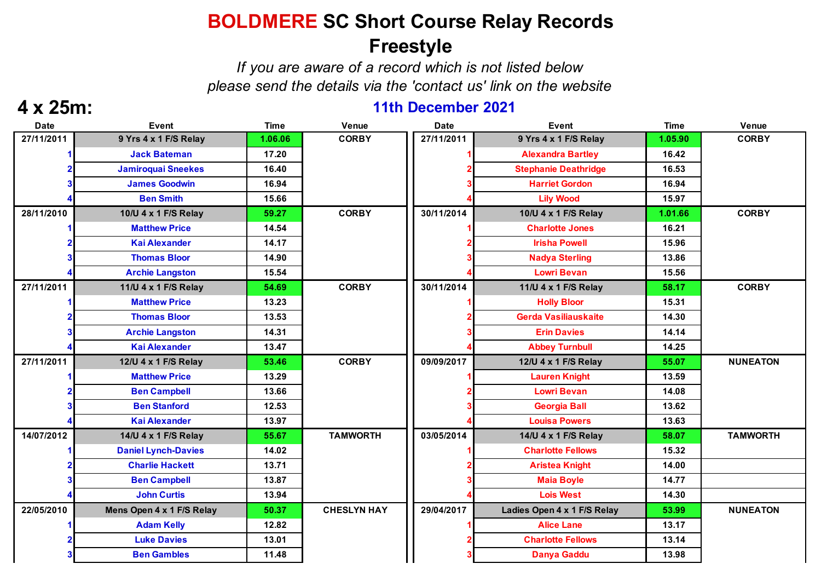### **BOLDMERE SC Short Course Relay Records Freestyle**

*If you are aware of a record which is not listed below please send the details via the 'contact us' link on the website*

### **4 x 25m: 11th December 2021**

| <b>Date</b> | <b>Event</b>               | <b>Time</b> | <b>Venue</b>       | <b>Date</b> | <b>Event</b>                | <b>Time</b> | Venue           |
|-------------|----------------------------|-------------|--------------------|-------------|-----------------------------|-------------|-----------------|
| 27/11/2011  | 9 Yrs 4 x 1 F/S Relay      | 1.06.06     | <b>CORBY</b>       | 27/11/2011  | 9 Yrs 4 x 1 F/S Relay       | 1.05.90     | <b>CORBY</b>    |
|             | <b>Jack Bateman</b>        | 17.20       |                    |             | <b>Alexandra Bartley</b>    | 16.42       |                 |
|             | <b>Jamiroquai Sneekes</b>  | 16.40       |                    |             | <b>Stephanie Deathridge</b> | 16.53       |                 |
|             | <b>James Goodwin</b>       | 16.94       |                    |             | <b>Harriet Gordon</b>       | 16.94       |                 |
|             | <b>Ben Smith</b>           | 15.66       |                    |             | <b>Lily Wood</b>            | 15.97       |                 |
| 28/11/2010  | 10/U 4 x 1 F/S Relay       | 59.27       | <b>CORBY</b>       | 30/11/2014  | 10/U 4 x 1 F/S Relay        | 1.01.66     | <b>CORBY</b>    |
|             | <b>Matthew Price</b>       | 14.54       |                    |             | <b>Charlotte Jones</b>      | 16.21       |                 |
|             | <b>Kai Alexander</b>       | 14.17       |                    |             | <b>Irisha Powell</b>        | 15.96       |                 |
|             | <b>Thomas Bloor</b>        | 14.90       |                    |             | <b>Nadya Sterling</b>       | 13.86       |                 |
|             | <b>Archie Langston</b>     | 15.54       |                    |             | <b>Lowri Bevan</b>          | 15.56       |                 |
| 27/11/2011  | 11/U 4 x 1 F/S Relay       | 54.69       | <b>CORBY</b>       | 30/11/2014  | 11/U 4 x 1 F/S Relay        | 58.17       | <b>CORBY</b>    |
|             | <b>Matthew Price</b>       | 13.23       |                    |             | <b>Holly Bloor</b>          | 15.31       |                 |
|             | <b>Thomas Bloor</b>        | 13.53       |                    |             | <b>Gerda Vasiliauskaite</b> | 14.30       |                 |
|             | <b>Archie Langston</b>     | 14.31       |                    |             | <b>Erin Davies</b>          | 14.14       |                 |
|             | <b>Kai Alexander</b>       | 13.47       |                    |             | <b>Abbey Turnbull</b>       | 14.25       |                 |
| 27/11/2011  | 12/U 4 x 1 F/S Relay       | 53.46       | <b>CORBY</b>       | 09/09/2017  | 12/U 4 x 1 F/S Relay        | 55.07       | <b>NUNEATON</b> |
|             | <b>Matthew Price</b>       | 13.29       |                    |             | <b>Lauren Knight</b>        | 13.59       |                 |
|             | <b>Ben Campbell</b>        | 13.66       |                    |             | <b>Lowri Bevan</b>          | 14.08       |                 |
|             | <b>Ben Stanford</b>        | 12.53       |                    |             | <b>Georgia Ball</b>         | 13.62       |                 |
|             | <b>Kai Alexander</b>       | 13.97       |                    |             | <b>Louisa Powers</b>        | 13.63       |                 |
| 14/07/2012  | 14/U 4 x 1 F/S Relay       | 55.67       | <b>TAMWORTH</b>    | 03/05/2014  | 14/U 4 x 1 F/S Relay        | 58.07       | <b>TAMWORTH</b> |
|             | <b>Daniel Lynch-Davies</b> | 14.02       |                    |             | <b>Charlotte Fellows</b>    | 15.32       |                 |
|             | <b>Charlie Hackett</b>     | 13.71       |                    |             | <b>Aristea Knight</b>       | 14.00       |                 |
|             | <b>Ben Campbell</b>        | 13.87       |                    |             | <b>Maia Boyle</b>           | 14.77       |                 |
|             | <b>John Curtis</b>         | 13.94       |                    |             | <b>Lois West</b>            | 14.30       |                 |
| 22/05/2010  | Mens Open 4 x 1 F/S Relay  | 50.37       | <b>CHESLYN HAY</b> | 29/04/2017  | Ladies Open 4 x 1 F/S Relay | 53.99       | <b>NUNEATON</b> |
|             | <b>Adam Kelly</b>          | 12.82       |                    |             | <b>Alice Lane</b>           | 13.17       |                 |
|             | <b>Luke Davies</b>         | 13.01       |                    |             | <b>Charlotte Fellows</b>    | 13.14       |                 |
|             | <b>Ben Gambles</b>         | 11.48       |                    |             | <b>Danya Gaddu</b>          | 13.98       |                 |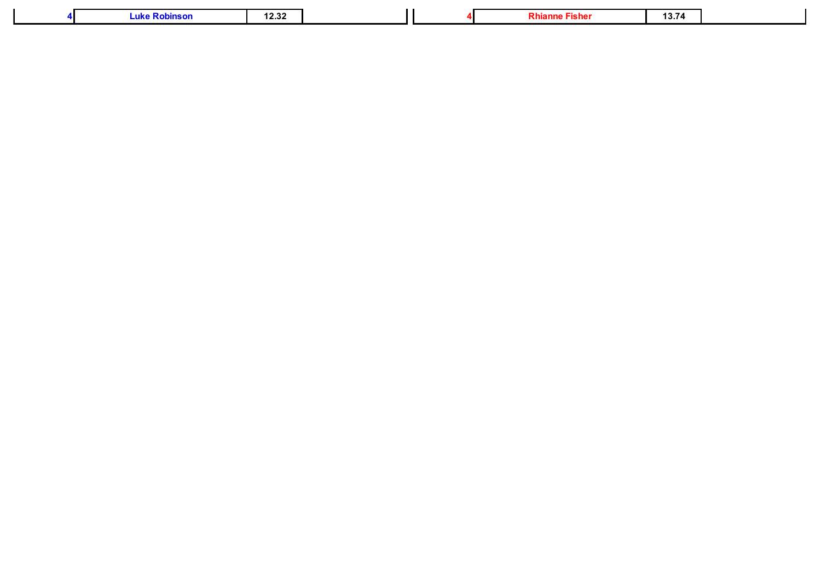|  | Luk.<br>nsor | - 55<br>16.JL |  |  | - 15115 | . .<br>. <i>.</i> . |  |
|--|--------------|---------------|--|--|---------|---------------------|--|
|--|--------------|---------------|--|--|---------|---------------------|--|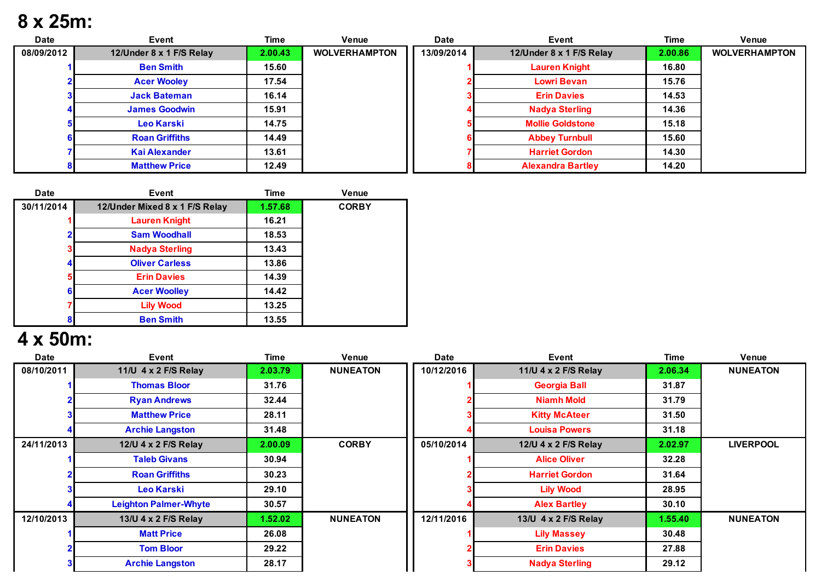## **8 x 25m:**

| <b>Date</b> | Event                    | Time    | Venue                | <b>Date</b> | Event                    | Time    | Venue                |
|-------------|--------------------------|---------|----------------------|-------------|--------------------------|---------|----------------------|
| 08/09/2012  | 12/Under 8 x 1 F/S Relay | 2.00.43 | <b>WOLVERHAMPTON</b> | 13/09/2014  | 12/Under 8 x 1 F/S Relay | 2.00.86 | <b>WOLVERHAMPTON</b> |
|             | <b>Ben Smith</b>         | 15.60   |                      |             | <b>Lauren Knight</b>     | 16.80   |                      |
|             | <b>Acer Wooley</b>       | 17.54   |                      |             | <b>Lowri Bevan</b>       | 15.76   |                      |
|             | <b>Jack Bateman</b>      | 16.14   |                      |             | <b>Erin Davies</b>       | 14.53   |                      |
|             | <b>James Goodwin</b>     | 15.91   |                      |             | <b>Nadya Sterling</b>    | 14.36   |                      |
|             | Leo Karski               | 14.75   |                      |             | <b>Mollie Goldstone</b>  | 15.18   |                      |
|             | <b>Roan Griffiths</b>    | 14.49   |                      |             | <b>Abbey Turnbull</b>    | 15.60   |                      |
|             | <b>Kai Alexander</b>     | 13.61   |                      |             | <b>Harriet Gordon</b>    | 14.30   |                      |
|             | <b>Matthew Price</b>     | 12.49   |                      |             | <b>Alexandra Bartley</b> | 14.20   |                      |

| <b>Date</b> | <b>Event</b>                   | <b>Time</b> | <b>Venue</b> |
|-------------|--------------------------------|-------------|--------------|
| 30/11/2014  | 12/Under Mixed 8 x 1 F/S Relay | 1.57.68     | <b>CORBY</b> |
|             | <b>Lauren Knight</b>           | 16.21       |              |
|             | <b>Sam Woodhall</b>            | 18.53       |              |
| 3           | <b>Nadya Sterling</b>          | 13.43       |              |
|             | <b>Oliver Carless</b>          | 13.86       |              |
| 5           | <b>Erin Davies</b>             | 14.39       |              |
| 6           | <b>Acer Woolley</b>            | 14.42       |              |
|             | <b>Lily Wood</b>               | 13.25       |              |
| 8           | <b>Ben Smith</b>               | 13.55       |              |

# **4 x 50m:**

| <b>Date</b> | Event                        | Time    | Venue           | <b>Date</b> | Event                 | Time    | Venue            |
|-------------|------------------------------|---------|-----------------|-------------|-----------------------|---------|------------------|
| 08/10/2011  | 11/U 4 x 2 F/S Relay         | 2.03.79 | <b>NUNEATON</b> | 10/12/2016  | 11/U 4 x 2 F/S Relay  | 2.06.34 | <b>NUNEATON</b>  |
|             | <b>Thomas Bloor</b>          | 31.76   |                 |             | <b>Georgia Ball</b>   | 31.87   |                  |
|             | <b>Ryan Andrews</b>          | 32.44   |                 |             | <b>Niamh Mold</b>     | 31.79   |                  |
|             | <b>Matthew Price</b>         | 28.11   |                 |             | <b>Kitty McAteer</b>  | 31.50   |                  |
|             | <b>Archie Langston</b>       | 31.48   |                 |             | <b>Louisa Powers</b>  | 31.18   |                  |
| 24/11/2013  | 12/U 4 x 2 F/S Relay         | 2.00.09 | <b>CORBY</b>    | 05/10/2014  | 12/U 4 x 2 F/S Relay  | 2.02.97 | <b>LIVERPOOL</b> |
|             | <b>Taleb Givans</b>          | 30.94   |                 |             | <b>Alice Oliver</b>   | 32.28   |                  |
|             | <b>Roan Griffiths</b>        | 30.23   |                 |             | <b>Harriet Gordon</b> | 31.64   |                  |
|             | Leo Karski                   | 29.10   |                 |             | <b>Lily Wood</b>      | 28.95   |                  |
|             | <b>Leighton Palmer-Whyte</b> | 30.57   |                 |             | <b>Alex Bartley</b>   | 30.10   |                  |
| 12/10/2013  | 13/U 4 x 2 F/S Relay         | 1.52.02 | <b>NUNEATON</b> | 12/11/2016  | 13/U 4 x 2 F/S Relay  | 1.55.40 | <b>NUNEATON</b>  |
|             | <b>Matt Price</b>            | 26.08   |                 |             | <b>Lily Massey</b>    | 30.48   |                  |
|             | <b>Tom Bloor</b>             | 29.22   |                 |             | <b>Erin Davies</b>    | 27.88   |                  |
|             | <b>Archie Langston</b>       | 28.17   |                 |             | <b>Nadya Sterling</b> | 29.12   |                  |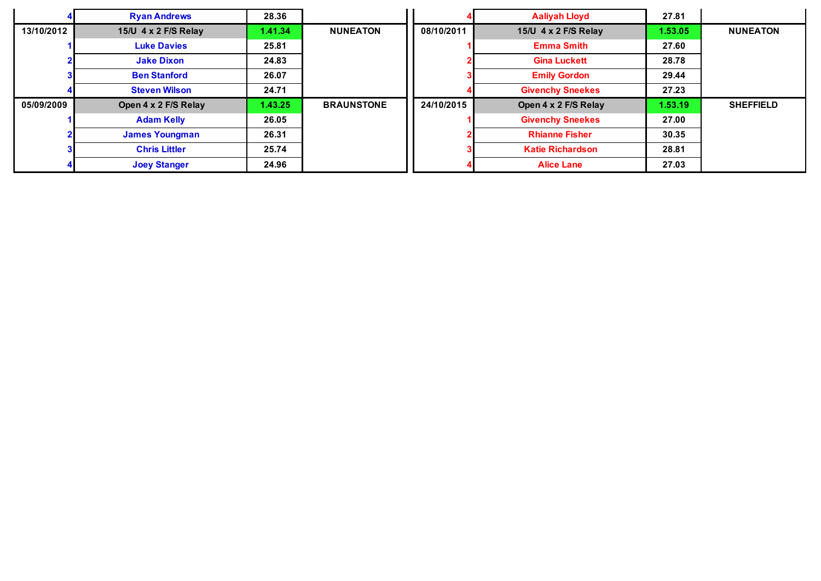|            | <b>Ryan Andrews</b>   | 28.36   |                   |            | <b>Aaliyah Lloyd</b>    | 27.81   |                  |
|------------|-----------------------|---------|-------------------|------------|-------------------------|---------|------------------|
| 13/10/2012 | 15/U 4 x 2 F/S Relay  | 1.41.34 | <b>NUNEATON</b>   | 08/10/2011 | 15/U 4 x 2 F/S Relay    | 1.53.05 | <b>NUNEATON</b>  |
|            | <b>Luke Davies</b>    | 25.81   |                   |            | <b>Emma Smith</b>       | 27.60   |                  |
|            | <b>Jake Dixon</b>     | 24.83   |                   |            | <b>Gina Luckett</b>     | 28.78   |                  |
|            | <b>Ben Stanford</b>   | 26.07   |                   |            | <b>Emily Gordon</b>     | 29.44   |                  |
|            | <b>Steven Wilson</b>  | 24.71   |                   |            | <b>Givenchy Sneekes</b> | 27.23   |                  |
| 05/09/2009 | Open 4 x 2 F/S Relay  | 1.43.25 | <b>BRAUNSTONE</b> | 24/10/2015 | Open 4 x 2 F/S Relay    | 1.53.19 | <b>SHEFFIELD</b> |
|            | <b>Adam Kelly</b>     | 26.05   |                   |            | <b>Givenchy Sneekes</b> | 27.00   |                  |
|            | <b>James Youngman</b> | 26.31   |                   |            | <b>Rhianne Fisher</b>   | 30.35   |                  |
|            | <b>Chris Littler</b>  | 25.74   |                   |            | <b>Katie Richardson</b> | 28.81   |                  |
|            | <b>Joey Stanger</b>   | 24.96   |                   |            | <b>Alice Lane</b>       | 27.03   |                  |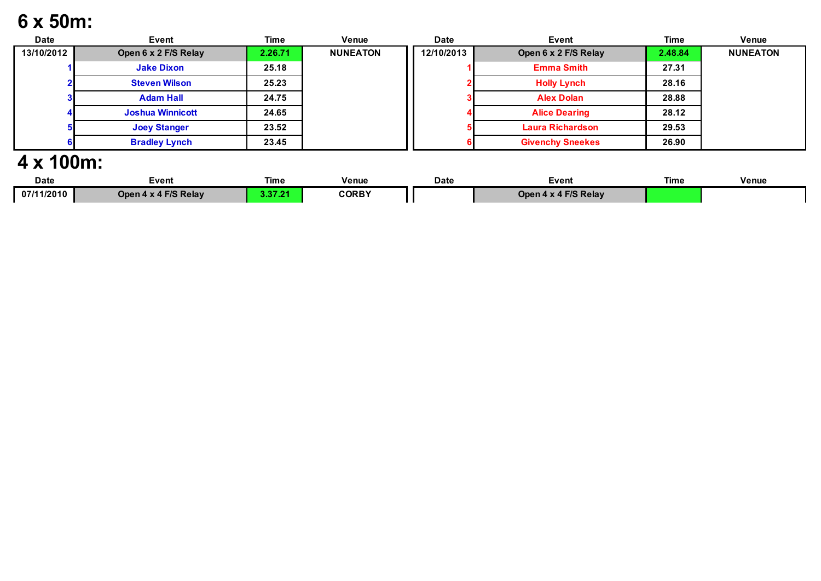## **6 x 50m:**

| <b>Date</b> | Event                   | <b>Time</b> | Venue           | <b>Date</b> | Event                   | <b>Time</b> | Venue           |
|-------------|-------------------------|-------------|-----------------|-------------|-------------------------|-------------|-----------------|
| 13/10/2012  | Open 6 x 2 F/S Relay    | 2.26.71     | <b>NUNEATON</b> | 12/10/2013  | Open 6 x 2 F/S Relay    | 2.48.84     | <b>NUNEATON</b> |
|             | <b>Jake Dixon</b>       | 25.18       |                 |             | <b>Emma Smith</b>       | 27.31       |                 |
|             | <b>Steven Wilson</b>    | 25.23       |                 |             | <b>Holly Lynch</b>      | 28.16       |                 |
|             | <b>Adam Hall</b>        | 24.75       |                 |             | <b>Alex Dolan</b>       | 28.88       |                 |
|             | <b>Joshua Winnicott</b> | 24.65       |                 |             | <b>Alice Dearing</b>    | 28.12       |                 |
|             | <b>Joey Stanger</b>     | 23.52       |                 |             | <b>Laura Richardson</b> | 29.53       |                 |
|             | <b>Bradley Lynch</b>    | 23.45       |                 |             | <b>Givenchy Sneekes</b> | 26.90       |                 |

### **4 x 100m:**

| Date       | Event                   | Time   | <b>Venue</b> | Date | ∃vent                        | Time | <b>Venue</b> |
|------------|-------------------------|--------|--------------|------|------------------------------|------|--------------|
| 07/11/2010 | x 4 F/S Relay<br>Open 4 | 0.2.04 | <b>CORBY</b> |      | 4 F/S Relay<br><b>Jpen 4</b> |      |              |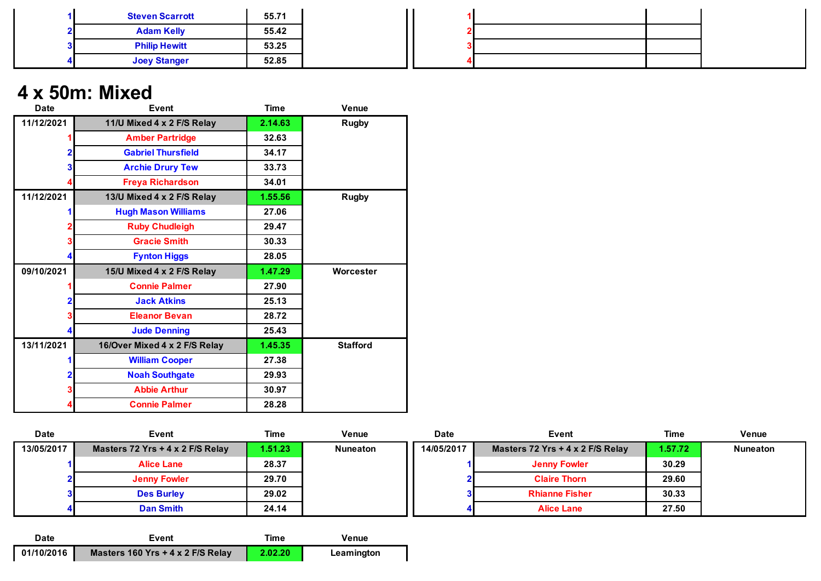| <b>Steven Scarrott</b> | 55.71 |  |  |
|------------------------|-------|--|--|
| <b>Adam Kelly</b>      | 55.42 |  |  |
| <b>Philip Hewitt</b>   | 53.25 |  |  |
| <b>Joey Stanger</b>    | 52.85 |  |  |

### **4 x 50m: Mixed**

| <b>Date</b>    | Event                         | <b>Time</b> | <b>Venue</b>    |
|----------------|-------------------------------|-------------|-----------------|
| 11/12/2021     | 11/U Mixed 4 x 2 F/S Relay    | 2.14.63     | <b>Rugby</b>    |
|                | <b>Amber Partridge</b>        | 32.63       |                 |
| $\overline{2}$ | <b>Gabriel Thursfield</b>     | 34.17       |                 |
| 3              | <b>Archie Drury Tew</b>       | 33.73       |                 |
| 4              | <b>Freya Richardson</b>       | 34.01       |                 |
| 11/12/2021     | 13/U Mixed 4 x 2 F/S Relay    | 1.55.56     | <b>Rugby</b>    |
|                | <b>Hugh Mason Williams</b>    | 27.06       |                 |
| 2              | <b>Ruby Chudleigh</b>         | 29.47       |                 |
| 3              | <b>Gracie Smith</b>           | 30.33       |                 |
| 4              | <b>Fynton Higgs</b>           | 28.05       |                 |
| 09/10/2021     | 15/U Mixed 4 x 2 F/S Relay    | 1.47.29     | Worcester       |
| 1              | <b>Connie Palmer</b>          | 27.90       |                 |
| $\overline{2}$ | <b>Jack Atkins</b>            | 25.13       |                 |
| 3              | <b>Eleanor Bevan</b>          | 28.72       |                 |
| 4              | <b>Jude Denning</b>           | 25.43       |                 |
| 13/11/2021     | 16/Over Mixed 4 x 2 F/S Relay | 1.45.35     | <b>Stafford</b> |
| 1              | <b>William Cooper</b>         | 27.38       |                 |
| 2              | <b>Noah Southgate</b>         | 29.93       |                 |
| 3              | <b>Abbie Arthur</b>           | 30.97       |                 |
| 4              | <b>Connie Palmer</b>          | 28.28       |                 |

| <b>Date</b> | Event                              | Time    | <b>Venue</b>    | <b>Date</b> | Event                            | <b>Time</b> | <b>Venue</b>    |
|-------------|------------------------------------|---------|-----------------|-------------|----------------------------------|-------------|-----------------|
| 13/05/2017  | Masters 72 Yrs $+$ 4 x 2 F/S Relay | 1.51.23 | <b>Nuneaton</b> | 14/05/2017  | Masters 72 Yrs + 4 x 2 F/S Relay | 1.57.72     | <b>Nuneaton</b> |
|             | <b>Alice Lane</b>                  | 28.37   |                 |             | <b>Jenny Fowler</b>              | 30.29       |                 |
|             | <b>Jenny Fowler</b>                | 29.70   |                 |             | <b>Claire Thorn</b>              | 29.60       |                 |
|             | <b>Des Burley</b>                  | 29.02   |                 |             | <b>Rhianne Fisher</b>            | 30.33       |                 |
|             | <b>Dan Smith</b>                   | 24.14   |                 |             | <b>Alice Lane</b>                | 27.50       |                 |

| Date       | Event                               | <b>ime</b> | Venue      |
|------------|-------------------------------------|------------|------------|
| 01/10/2016 | Masters 160 Yrs $+$ 4 x 2 F/S Relay | 2.02.20    | Leamington |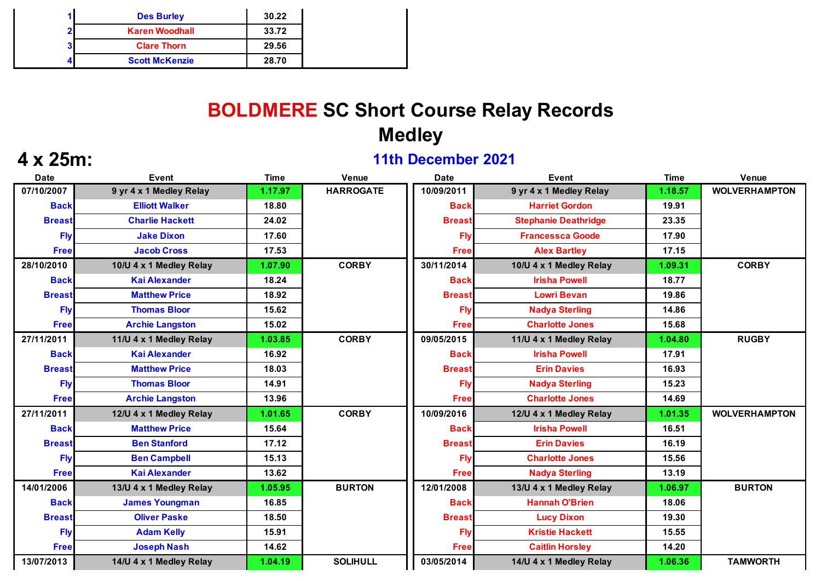|                | <b>Des Burley</b>     | 30.22 |
|----------------|-----------------------|-------|
| $\overline{2}$ | <b>Karen Woodhall</b> | 33.72 |
| 3 <sup>1</sup> | <b>Clare Thorn</b>    | 29.56 |
|                | <b>Scott McKenzie</b> | 28.70 |

# **BOLDMERE SC Short Course Relay Records Medley**

### **4 x 25m: 11th December 2021**

| <b>Date</b>   | <b>Event</b>            | <b>Time</b> | Venue            | <b>Date</b>   | Event                       | <b>Time</b> | Venue                |
|---------------|-------------------------|-------------|------------------|---------------|-----------------------------|-------------|----------------------|
| 07/10/2007    | 9 yr 4 x 1 Medley Relay | 1.17.97     | <b>HARROGATE</b> | 10/09/2011    | 9 yr 4 x 1 Medley Relay     | 1.18.57     | <b>WOLVERHAMPTON</b> |
| <b>Back</b>   | <b>Elliott Walker</b>   | 18.80       |                  | <b>Back</b>   | <b>Harriet Gordon</b>       | 19.91       |                      |
| <b>Breast</b> | <b>Charlie Hackett</b>  | 24.02       |                  | <b>Breast</b> | <b>Stephanie Deathridge</b> | 23.35       |                      |
| <b>Flv</b>    | <b>Jake Dixon</b>       | 17.60       |                  | Fly           | <b>Francessca Goode</b>     | 17.90       |                      |
| <b>Free</b>   | <b>Jacob Cross</b>      | 17.53       |                  | <b>Free</b>   | <b>Alex Bartley</b>         | 17.15       |                      |
| 28/10/2010    | 10/U 4 x 1 Medley Relay | 1.07.90     | <b>CORBY</b>     | 30/11/2014    | 10/U 4 x 1 Medley Relay     | 1.09.31     | <b>CORBY</b>         |
| <b>Back</b>   | <b>Kai Alexander</b>    | 18.24       |                  | <b>Back</b>   | <b>Irisha Powell</b>        | 18.77       |                      |
| <b>Breast</b> | <b>Matthew Price</b>    | 18.92       |                  | <b>Breast</b> | <b>Lowri Bevan</b>          | 19.86       |                      |
| <b>Fly</b>    | <b>Thomas Bloor</b>     | 15.62       |                  | Fly           | <b>Nadya Sterling</b>       | 14.86       |                      |
| <b>Free</b>   | <b>Archie Langston</b>  | 15.02       |                  | <b>Free</b>   | <b>Charlotte Jones</b>      | 15.68       |                      |
| 27/11/2011    | 11/U 4 x 1 Medley Relay | 1.03.85     | <b>CORBY</b>     | 09/05/2015    | 11/U 4 x 1 Medley Relay     | 1.04.80     | <b>RUGBY</b>         |
| <b>Back</b>   | <b>Kai Alexander</b>    | 16.92       |                  | <b>Back</b>   | <b>Irisha Powell</b>        | 17.91       |                      |
| <b>Breast</b> | <b>Matthew Price</b>    | 18.03       |                  | <b>Breast</b> | <b>Erin Davies</b>          | 16.93       |                      |
| <b>Fly</b>    | <b>Thomas Bloor</b>     | 14.91       |                  | Fly           | <b>Nadya Sterling</b>       | 15.23       |                      |
| <b>Free</b>   | <b>Archie Langston</b>  | 13.96       |                  | <b>Free</b>   | <b>Charlotte Jones</b>      | 14.69       |                      |
| 27/11/2011    | 12/U 4 x 1 Medley Relay | 1.01.65     | <b>CORBY</b>     | 10/09/2016    | 12/U 4 x 1 Medley Relay     | 1.01.35     | <b>WOLVERHAMPTON</b> |
| <b>Back</b>   | <b>Matthew Price</b>    | 15.64       |                  | <b>Back</b>   | <b>Irisha Powell</b>        | 16.51       |                      |
| <b>Breast</b> | <b>Ben Stanford</b>     | 17.12       |                  | <b>Breast</b> | <b>Erin Davies</b>          | 16.19       |                      |
| <b>Fly</b>    | <b>Ben Campbell</b>     | 15.13       |                  | Fly           | <b>Charlotte Jones</b>      | 15.56       |                      |
| <b>Free</b>   | <b>Kai Alexander</b>    | 13.62       |                  | <b>Free</b>   | <b>Nadya Sterling</b>       | 13.19       |                      |
| 14/01/2006    | 13/U 4 x 1 Medley Relay | 1.05.95     | <b>BURTON</b>    | 12/01/2008    | 13/U 4 x 1 Medley Relay     | 1.06.97     | <b>BURTON</b>        |
| <b>Back</b>   | <b>James Youngman</b>   | 16.85       |                  | <b>Back</b>   | <b>Hannah O'Brien</b>       | 18.06       |                      |
| <b>Breast</b> | <b>Oliver Paske</b>     | 18.50       |                  | <b>Breast</b> | <b>Lucy Dixon</b>           | 19.30       |                      |
| <b>Fly</b>    | <b>Adam Kelly</b>       | 15.91       |                  | Fly           | <b>Kristie Hackett</b>      | 15.55       |                      |
| <b>Free</b>   | <b>Joseph Nash</b>      | 14.62       |                  | <b>Free</b>   | <b>Caitlin Horsley</b>      | 14.20       |                      |
| 13/07/2013    | 14/U 4 x 1 Medley Relay | 1.04.19     | <b>SOLIHULL</b>  | 03/05/2014    | 14/U 4 x 1 Medley Relay     | 1.06.36     | <b>TAMWORTH</b>      |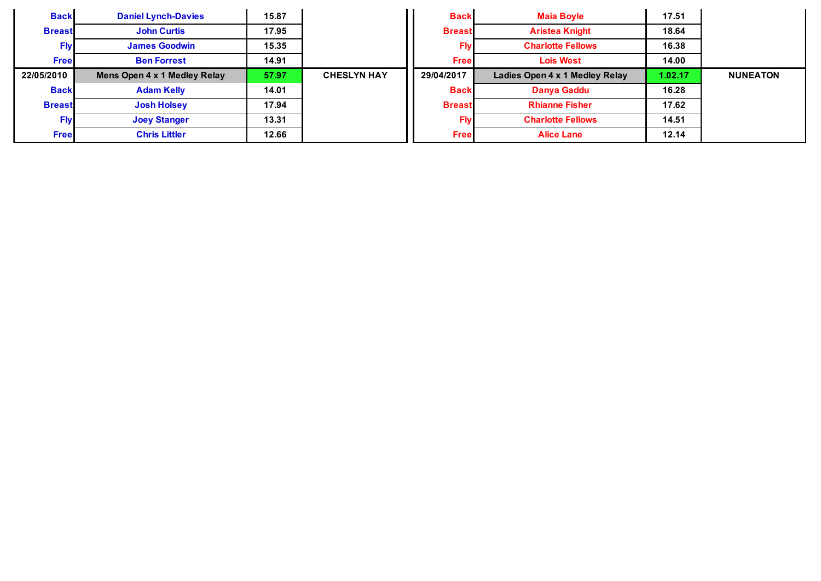| <b>Back</b>   | <b>Daniel Lynch-Davies</b>   | 15.87 |                    | <b>Back</b>   | <b>Maia Boyle</b>              | 17.51   |                 |
|---------------|------------------------------|-------|--------------------|---------------|--------------------------------|---------|-----------------|
| <b>Breast</b> | <b>John Curtis</b>           | 17.95 |                    | <b>Breast</b> | <b>Aristea Knight</b>          | 18.64   |                 |
| <b>Fly</b>    | <b>James Goodwin</b>         | 15.35 |                    | Fly           | <b>Charlotte Fellows</b>       | 16.38   |                 |
| <b>Free</b>   | <b>Ben Forrest</b>           | 14.91 |                    | <b>Free</b>   | <b>Lois West</b>               | 14.00   |                 |
| 22/05/2010    | Mens Open 4 x 1 Medley Relay | 57.97 | <b>CHESLYN HAY</b> | 29/04/2017    | Ladies Open 4 x 1 Medley Relay | 1.02.17 | <b>NUNEATON</b> |
| <b>Back</b>   | <b>Adam Kelly</b>            | 14.01 |                    | <b>Back</b>   | Danya Gaddu                    | 16.28   |                 |
| <b>Breast</b> | <b>Josh Holsey</b>           | 17.94 |                    | <b>Breast</b> | <b>Rhianne Fisher</b>          | 17.62   |                 |
| <b>Flv</b>    | <b>Joey Stanger</b>          | 13.31 |                    | Fly           | <b>Charlotte Fellows</b>       | 14.51   |                 |
| <b>Free</b>   | <b>Chris Littler</b>         | 12.66 |                    | <b>Free</b>   | <b>Alice Lane</b>              | 12.14   |                 |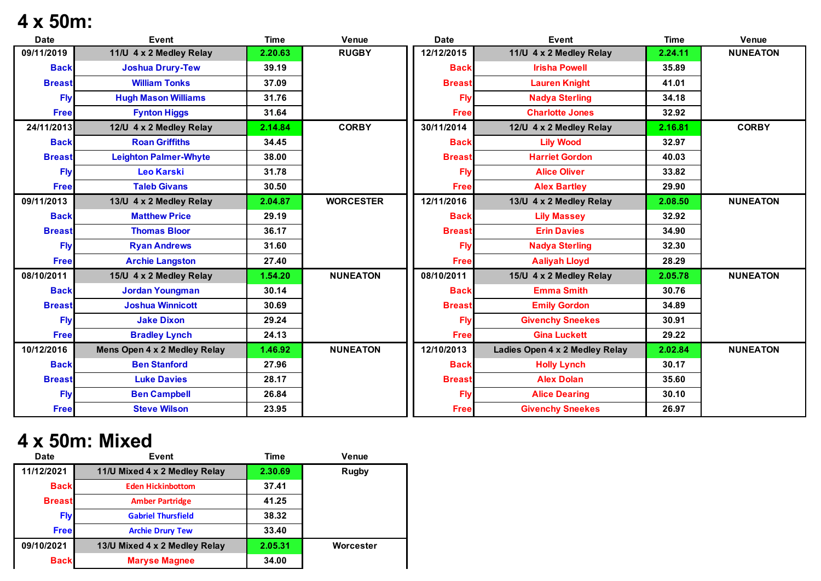## **4 x 50m:**

| <b>Date</b>   | <b>Event</b>                 | <b>Time</b> | Venue            | <b>Date</b>   | <b>Event</b>                   | <b>Time</b> | Venue           |
|---------------|------------------------------|-------------|------------------|---------------|--------------------------------|-------------|-----------------|
| 09/11/2019    | 11/U 4 x 2 Medley Relay      | 2.20.63     | <b>RUGBY</b>     | 12/12/2015    | 11/U 4 x 2 Medley Relay        | 2.24.11     | <b>NUNEATON</b> |
| <b>Back</b>   | <b>Joshua Drury-Tew</b>      | 39.19       |                  | <b>Back</b>   | <b>Irisha Powell</b>           | 35.89       |                 |
| <b>Breast</b> | <b>William Tonks</b>         | 37.09       |                  | <b>Breast</b> | <b>Lauren Knight</b>           | 41.01       |                 |
| Flv           | <b>Hugh Mason Williams</b>   | 31.76       |                  | Fh            | <b>Nadya Sterling</b>          | 34.18       |                 |
| <b>Free</b>   | <b>Fynton Higgs</b>          | 31.64       |                  | <b>Free</b>   | <b>Charlotte Jones</b>         | 32.92       |                 |
| 24/11/2013    | 12/U 4 x 2 Medley Relay      | 2.14.84     | <b>CORBY</b>     | 30/11/2014    | 12/U 4 x 2 Medley Relay        | 2.16.81     | <b>CORBY</b>    |
| <b>Back</b>   | <b>Roan Griffiths</b>        | 34.45       |                  | <b>Back</b>   | <b>Lily Wood</b>               | 32.97       |                 |
| <b>Breast</b> | <b>Leighton Palmer-Whyte</b> | 38.00       |                  | <b>Breast</b> | <b>Harriet Gordon</b>          | 40.03       |                 |
| <b>Fly</b>    | <b>Leo Karski</b>            | 31.78       |                  | Fly           | <b>Alice Oliver</b>            | 33.82       |                 |
| <b>Free</b>   | <b>Taleb Givans</b>          | 30.50       |                  | <b>Free</b>   | <b>Alex Bartley</b>            | 29.90       |                 |
| 09/11/2013    | 13/U 4 x 2 Medley Relay      | 2.04.87     | <b>WORCESTER</b> | 12/11/2016    | 13/U 4 x 2 Medley Relay        | 2.08.50     | <b>NUNEATON</b> |
| <b>Back</b>   | <b>Matthew Price</b>         | 29.19       |                  | <b>Back</b>   | <b>Lily Massey</b>             | 32.92       |                 |
| <b>Breast</b> | <b>Thomas Bloor</b>          | 36.17       |                  | <b>Breast</b> | <b>Erin Davies</b>             | 34.90       |                 |
| <b>Fly</b>    | <b>Ryan Andrews</b>          | 31.60       |                  | Fly           | <b>Nadya Sterling</b>          | 32.30       |                 |
| <b>Free</b>   | <b>Archie Langston</b>       | 27.40       |                  | <b>Free</b>   | <b>Aaliyah Lloyd</b>           | 28.29       |                 |
| 08/10/2011    | 15/U 4 x 2 Medley Relay      | 1.54.20     | <b>NUNEATON</b>  | 08/10/2011    | 15/U 4 x 2 Medley Relay        | 2.05.78     | <b>NUNEATON</b> |
| <b>Back</b>   | <b>Jordan Youngman</b>       | 30.14       |                  | <b>Back</b>   | <b>Emma Smith</b>              | 30.76       |                 |
| <b>Breast</b> | <b>Joshua Winnicott</b>      | 30.69       |                  | <b>Breast</b> | <b>Emily Gordon</b>            | 34.89       |                 |
| <b>Flv</b>    | <b>Jake Dixon</b>            | 29.24       |                  | Fh            | <b>Givenchy Sneekes</b>        | 30.91       |                 |
| <b>Free</b>   | <b>Bradley Lynch</b>         | 24.13       |                  | <b>Free</b>   | <b>Gina Luckett</b>            | 29.22       |                 |
| 10/12/2016    | Mens Open 4 x 2 Medley Relay | 1.46.92     | <b>NUNEATON</b>  | 12/10/2013    | Ladies Open 4 x 2 Medley Relay | 2.02.84     | <b>NUNEATON</b> |
| <b>Back</b>   | <b>Ben Stanford</b>          | 27.96       |                  | <b>Back</b>   | <b>Holly Lynch</b>             | 30.17       |                 |
| <b>Breast</b> | <b>Luke Davies</b>           | 28.17       |                  | <b>Breast</b> | <b>Alex Dolan</b>              | 35.60       |                 |
| <b>Fly</b>    | <b>Ben Campbell</b>          | 26.84       |                  | Fly           | <b>Alice Dearing</b>           | 30.10       |                 |
| <b>Free</b>   | <b>Steve Wilson</b>          | 23.95       |                  | <b>Free</b>   | <b>Givenchy Sneekes</b>        | 26.97       |                 |

# **4 x 50m: Mixed**

| <b>Date</b> | Event                                   | <b>Time</b> | Venue        |
|-------------|-----------------------------------------|-------------|--------------|
| 11/12/2021  | 11/U Mixed 4 x 2 Medley Relay           | 2.30.69     | <b>Rugby</b> |
| <b>Back</b> | <b>Eden Hickinbottom</b>                | 37.41       |              |
|             | <b>Breast</b><br><b>Amber Partridge</b> |             |              |
| <b>Fly</b>  | <b>Gabriel Thursfield</b>               | 38.32       |              |
| <b>Free</b> | <b>Archie Drury Tew</b>                 | 33.40       |              |
| 09/10/2021  | 13/U Mixed 4 x 2 Medley Relay           | 2.05.31     | Worcester    |
| <b>Back</b> | <b>Maryse Magnee</b>                    | 34.00       |              |